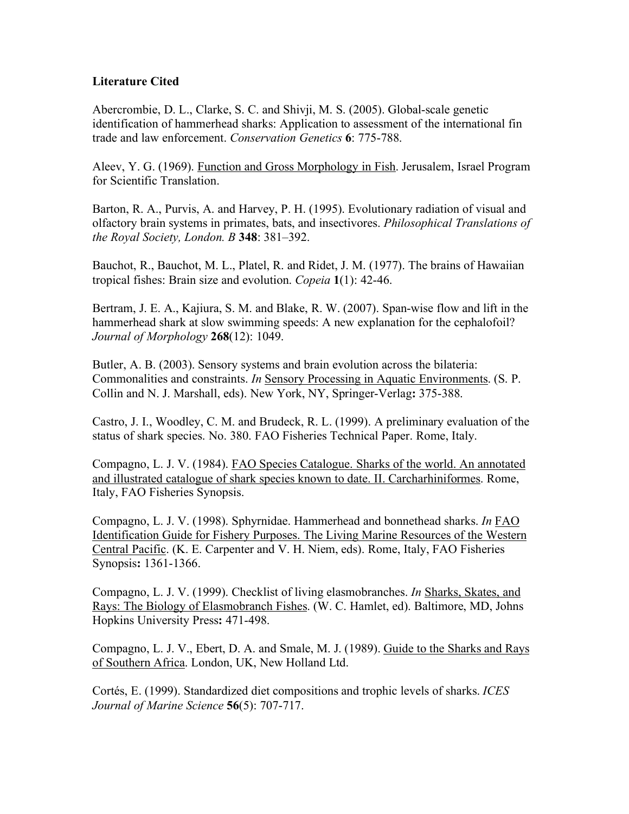## **Literature Cited**

Abercrombie, D. L., Clarke, S. C. and Shivji, M. S. (2005). Global-scale genetic identification of hammerhead sharks: Application to assessment of the international fin trade and law enforcement. *Conservation Genetics* **6**: 775-788.

Aleev, Y. G. (1969). Function and Gross Morphology in Fish. Jerusalem, Israel Program for Scientific Translation.

Barton, R. A., Purvis, A. and Harvey, P. H. (1995). Evolutionary radiation of visual and olfactory brain systems in primates, bats, and insectivores. *Philosophical Translations of the Royal Society, London. B* **348**: 381–392.

Bauchot, R., Bauchot, M. L., Platel, R. and Ridet, J. M. (1977). The brains of Hawaiian tropical fishes: Brain size and evolution. *Copeia* **1**(1): 42-46.

Bertram, J. E. A., Kajiura, S. M. and Blake, R. W. (2007). Span-wise flow and lift in the hammerhead shark at slow swimming speeds: A new explanation for the cephalofoil? *Journal of Morphology* **268**(12): 1049.

Butler, A. B. (2003). Sensory systems and brain evolution across the bilateria: Commonalities and constraints. *In* Sensory Processing in Aquatic Environments. (S. P. Collin and N. J. Marshall, eds). New York, NY, Springer-Verlag**:** 375-388.

Castro, J. I., Woodley, C. M. and Brudeck, R. L. (1999). A preliminary evaluation of the status of shark species. No. 380. FAO Fisheries Technical Paper. Rome, Italy.

Compagno, L. J. V. (1984). FAO Species Catalogue. Sharks of the world. An annotated and illustrated catalogue of shark species known to date. II. Carcharhiniformes. Rome, Italy, FAO Fisheries Synopsis.

Compagno, L. J. V. (1998). Sphyrnidae. Hammerhead and bonnethead sharks. *In* FAO Identification Guide for Fishery Purposes. The Living Marine Resources of the Western Central Pacific. (K. E. Carpenter and V. H. Niem, eds). Rome, Italy, FAO Fisheries Synopsis**:** 1361-1366.

Compagno, L. J. V. (1999). Checklist of living elasmobranches. *In* Sharks, Skates, and Rays: The Biology of Elasmobranch Fishes. (W. C. Hamlet, ed). Baltimore, MD, Johns Hopkins University Press**:** 471-498.

Compagno, L. J. V., Ebert, D. A. and Smale, M. J. (1989). Guide to the Sharks and Rays of Southern Africa. London, UK, New Holland Ltd.

Cortés, E. (1999). Standardized diet compositions and trophic levels of sharks. *ICES Journal of Marine Science* **56**(5): 707-717.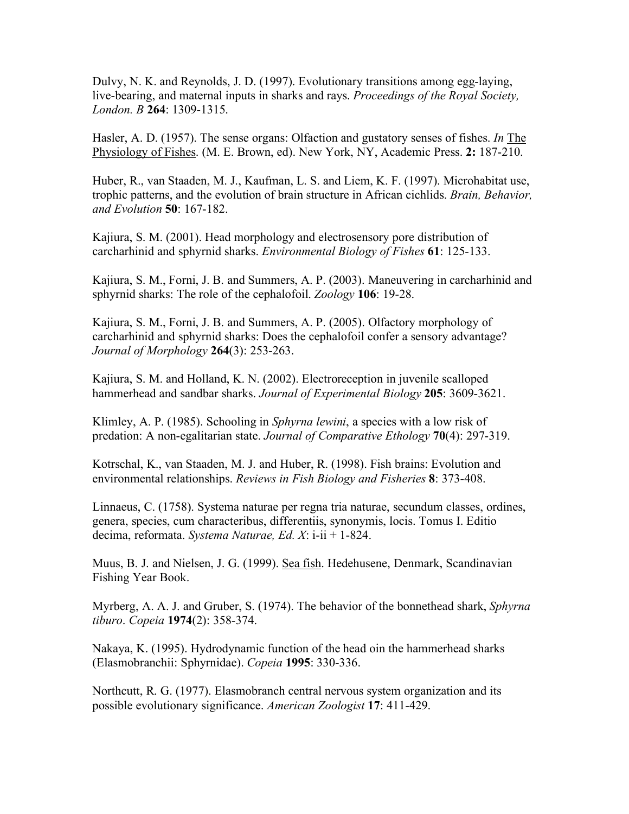Dulvy, N. K. and Reynolds, J. D. (1997). Evolutionary transitions among egg-laying, live-bearing, and maternal inputs in sharks and rays. *Proceedings of the Royal Society, London. B* **264**: 1309-1315.

Hasler, A. D. (1957). The sense organs: Olfaction and gustatory senses of fishes. *In* The Physiology of Fishes. (M. E. Brown, ed). New York, NY, Academic Press. **2:** 187-210.

Huber, R., van Staaden, M. J., Kaufman, L. S. and Liem, K. F. (1997). Microhabitat use, trophic patterns, and the evolution of brain structure in African cichlids. *Brain, Behavior, and Evolution* **50**: 167-182.

Kajiura, S. M. (2001). Head morphology and electrosensory pore distribution of carcharhinid and sphyrnid sharks. *Environmental Biology of Fishes* **61**: 125-133.

Kajiura, S. M., Forni, J. B. and Summers, A. P. (2003). Maneuvering in carcharhinid and sphyrnid sharks: The role of the cephalofoil. *Zoology* **106**: 19-28.

Kajiura, S. M., Forni, J. B. and Summers, A. P. (2005). Olfactory morphology of carcharhinid and sphyrnid sharks: Does the cephalofoil confer a sensory advantage? *Journal of Morphology* **264**(3): 253-263.

Kajiura, S. M. and Holland, K. N. (2002). Electroreception in juvenile scalloped hammerhead and sandbar sharks. *Journal of Experimental Biology* **205**: 3609-3621.

Klimley, A. P. (1985). Schooling in *Sphyrna lewini*, a species with a low risk of predation: A non-egalitarian state. *Journal of Comparative Ethology* **70**(4): 297-319.

Kotrschal, K., van Staaden, M. J. and Huber, R. (1998). Fish brains: Evolution and environmental relationships. *Reviews in Fish Biology and Fisheries* **8**: 373-408.

Linnaeus, C. (1758). Systema naturae per regna tria naturae, secundum classes, ordines, genera, species, cum characteribus, differentiis, synonymis, locis. Tomus I. Editio decima, reformata. *Systema Naturae, Ed. X*: i-ii + 1-824.

Muus, B. J. and Nielsen, J. G. (1999). Sea fish. Hedehusene, Denmark, Scandinavian Fishing Year Book.

Myrberg, A. A. J. and Gruber, S. (1974). The behavior of the bonnethead shark, *Sphyrna tiburo*. *Copeia* **1974**(2): 358-374.

Nakaya, K. (1995). Hydrodynamic function of the head oin the hammerhead sharks (Elasmobranchii: Sphyrnidae). *Copeia* **1995**: 330-336.

Northcutt, R. G. (1977). Elasmobranch central nervous system organization and its possible evolutionary significance. *American Zoologist* **17**: 411-429.